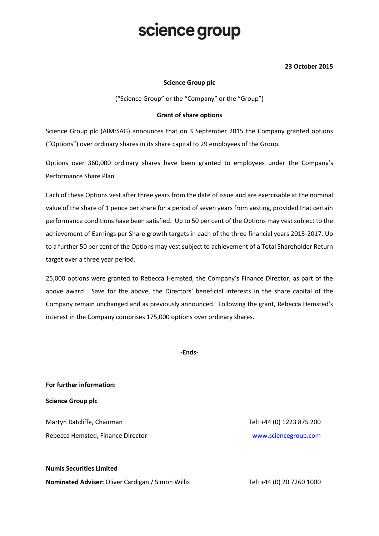## science group

### **23 October 2015**

#### **Science Group plc**

("Science Group" or the "Company" or the "Group")

#### **Grant of share options**

Science Group plc (AIM:SAG) announces that on 3 September 2015 the Company granted options ("Options") over ordinary shares in its share capital to 29 employees of the Group.

Options over 360,000 ordinary shares have been granted to employees under the Company's Performance Share Plan.

Each of these Options vest after three years from the date of issue and are exercisable at the nominal value of the share of 1 pence per share for a period of seven years from vesting, provided that certain performance conditions have been satisfied. Up to 50 per cent of the Options may vest subject to the achievement of Earnings per Share growth targets in each of the three financial years 2015-2017. Up to a further 50 per cent of the Options may vest subject to achievement of a Total Shareholder Return target over a three year period.

25,000 options were granted to Rebecca Hemsted, the Company's Finance Director, as part of the above award. Save for the above, the Directors' beneficial interests in the share capital of the Company remain unchanged and as previously announced. Following the grant, Rebecca Hemsted's interest in the Company comprises 175,000 options over ordinary shares.

**-Ends-**

**For further information:**

**Science Group plc**

Martyn Ratcliffe, Chairman Tel: +44 (0) 1223 875 200 Rebecca Hemsted, Finance Director [www.sciencegroup.com](http://www.sciencegroup.com/)

**Numis Securities Limited**

**Nominated Adviser:** Oliver Cardigan / Simon Willis Tel: +44 (0) 20 7260 1000